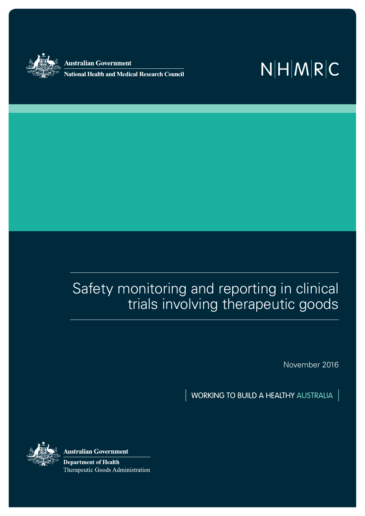

Australian Government

**National Health and Medical Research Council** 

# $N|H|M|R|C$

## Safety monitoring and reporting in clinical trials involving therapeutic goods

November 2016

WORKING TO BUILD A HEALTHY AUSTRALIA



**Australian Government** 

**Department of Health** Therapeutic Goods Administration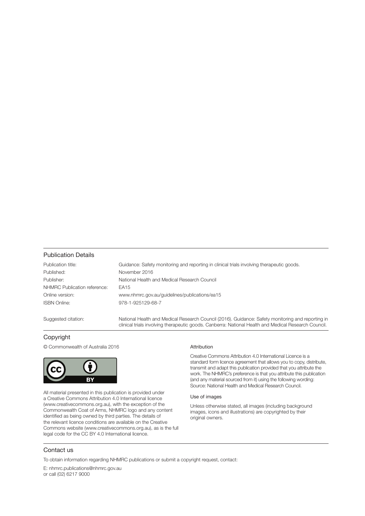#### Publication Details

| Publication title:           | Guidance: Safety monitoring and reporting in clinical trials involving therapeutic goods.                                                                                                                 |
|------------------------------|-----------------------------------------------------------------------------------------------------------------------------------------------------------------------------------------------------------|
| Published:                   | November 2016                                                                                                                                                                                             |
| Publisher:                   | National Health and Medical Research Council                                                                                                                                                              |
| NHMRC Publication reference: | EA15                                                                                                                                                                                                      |
| Online version:              | www.nhmrc.gov.au/guidelines/publications/ea15                                                                                                                                                             |
| <b>ISBN Online:</b>          | 978-1-925129-68-7                                                                                                                                                                                         |
| Suggested citation:          | National Health and Medical Research Council (2016). Guidance: Safety monitoring and reporting in<br>clinical trials involving therapeutic goods. Canberra: National Health and Medical Research Council. |

#### Copyright

© Commonwealth of Australia 2016



All material presented in this publication is provided under a Creative Commons Attribution 4.0 International licence (www.creativecommons.org.au), with the exception of the Commonwealth Coat of Arms, NHMRC logo and any content identified as being owned by third parties. The details of the relevant licence conditions are available on the Creative Commons website (www.creativecommons.org.au), as is the full legal code for the CC BY 4.0 International licence.

#### Attribution

Creative Commons Attribution 4.0 International Licence is a standard form licence agreement that allows you to copy, distribute, transmit and adapt this publication provided that you attribute the work. The NHMRC's preference is that you attribute this publication (and any material sourced from it) using the following wording: Source: National Health and Medical Research Council.

#### Use of images

Unless otherwise stated, all images (including background images, icons and illustrations) are copyrighted by their original owners.

#### Contact us

To obtain information regarding NHMRC publications or submit a copyright request, contact:

E: nhmrc.publications@nhmrc.gov.au or call (02) 6217 9000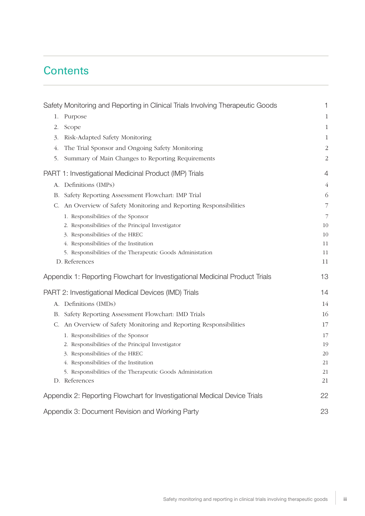## **Contents**

| Safety Monitoring and Reporting in Clinical Trials Involving Therapeutic Goods | 1                        |
|--------------------------------------------------------------------------------|--------------------------|
| 1. Purpose                                                                     | $\,1\,$                  |
| Scope<br>2.                                                                    | $\mathbf{1}$             |
| Risk-Adapted Safety Monitoring<br>3.                                           | $\mathbf{1}$             |
| The Trial Sponsor and Ongoing Safety Monitoring<br>4.                          | $\overline{c}$           |
| Summary of Main Changes to Reporting Requirements<br>5.                        | $\overline{c}$           |
| PART 1: Investigational Medicinal Product (IMP) Trials                         | $\overline{4}$           |
| Definitions (IMPs)<br>А.                                                       | $\overline{4}$           |
| B. Safety Reporting Assessment Flowchart: IMP Trial                            | 6                        |
| C. An Overview of Safety Monitoring and Reporting Responsibilities             | $\overline{\phantom{a}}$ |
| 1. Responsibilities of the Sponsor                                             | $\overline{7}$           |
| 2. Responsibilities of the Principal Investigator                              | 10                       |
| 3. Responsibilities of the HREC                                                | 10                       |
| 4. Responsibilities of the Institution                                         | 11                       |
| 5. Responsibilities of the Therapeutic Goods Administation                     | 11                       |
| D. References                                                                  | 11                       |
| Appendix 1: Reporting Flowchart for Investigational Medicinal Product Trials   | 13                       |
| PART 2: Investigational Medical Devices (IMD) Trials                           | 14                       |
| A. Definitions (IMDs)                                                          | 14                       |
| B. Safety Reporting Assessment Flowchart: IMD Trials                           | 16                       |
| C. An Overview of Safety Monitoring and Reporting Responsibilities             | 17                       |
| 1. Responsibilities of the Sponsor                                             | 17                       |
| 2. Responsibilities of the Principal Investigator                              | 19                       |
| 3. Responsibilities of the HREC                                                | 20                       |
| 4. Responsibilities of the Institution                                         | 21                       |
| 5. Responsibilities of the Therapeutic Goods Administation                     | 21                       |
| D. References                                                                  | 21                       |
| Appendix 2: Reporting Flowchart for Investigational Medical Device Trials      | 22                       |
| Appendix 3: Document Revision and Working Party                                | 23                       |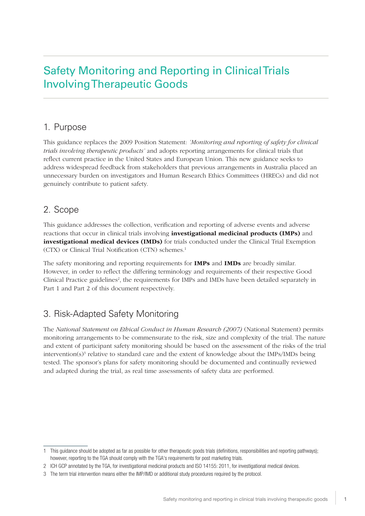## Safety Monitoring and Reporting in Clinical Trials Involving Therapeutic Goods

### 1. Purpose

This guidance replaces the 2009 Position Statement: *'Monitoring and reporting of safety for clinical trials involving therapeutic products'* and adopts reporting arrangements for clinical trials that reflect current practice in the United States and European Union. This new guidance seeks to address widespread feedback from stakeholders that previous arrangements in Australia placed an unnecessary burden on investigators and Human Research Ethics Committees (HRECs) and did not genuinely contribute to patient safety.

### 2. Scope

This guidance addresses the collection, verification and reporting of adverse events and adverse reactions that occur in clinical trials involving **investigational medicinal products (IMPs)** and investigational medical devices (IMDs) for trials conducted under the Clinical Trial Exemption (CTX) or Clinical Trial Notification (CTN) schemes.1

The safety monitoring and reporting requirements for **IMPs** and **IMDs** are broadly similar. However, in order to reflect the differing terminology and requirements of their respective Good Clinical Practice guidelines<sup>2</sup>, the requirements for IMPs and IMDs have been detailed separately in Part 1 and Part 2 of this document respectively.

### 3. Risk-Adapted Safety Monitoring

The *National Statement on Ethical Conduct in Human Research (2007)* (National Statement) permits monitoring arrangements to be commensurate to the risk, size and complexity of the trial. The nature and extent of participant safety monitoring should be based on the assessment of the risks of the trial intervention( $s$ )<sup>3</sup> relative to standard care and the extent of knowledge about the IMPs/IMDs being tested. The sponsor's plans for safety monitoring should be documented and continually reviewed and adapted during the trial, as real time assessments of safety data are performed.

<sup>1</sup> This guidance should be adopted as far as possible for other therapeutic goods trials (definitions, responsibilities and reporting pathways); however, reporting to the TGA should comply with the TGA's requirements for post marketing trials.

<sup>2</sup> ICH GCP annotated by the TGA, for investigational medicinal products and ISO 14155: 2011, for investigational medical devices.

<sup>3</sup> The term trial intervention means either the IMP/IMD or additional study procedures required by the protocol.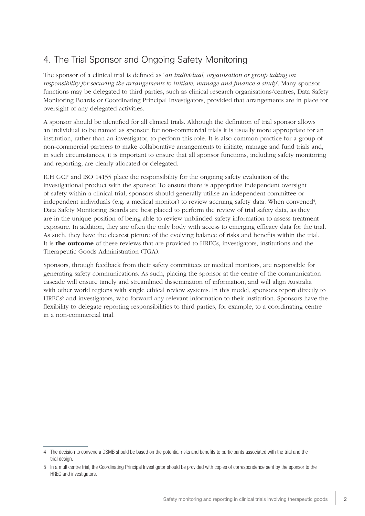## 4. The Trial Sponsor and Ongoing Safety Monitoring

The sponsor of a clinical trial is defined as '*an individual, organisation or group taking on responsibility for securing the arrangements to initiate, manage and finance a study*'. Many sponsor functions may be delegated to third parties, such as clinical research organisations/centres, Data Safety Monitoring Boards or Coordinating Principal Investigators, provided that arrangements are in place for oversight of any delegated activities.

A sponsor should be identified for all clinical trials. Although the definition of trial sponsor allows an individual to be named as sponsor, for non-commercial trials it is usually more appropriate for an institution, rather than an investigator, to perform this role. It is also common practice for a group of non-commercial partners to make collaborative arrangements to initiate, manage and fund trials and, in such circumstances, it is important to ensure that all sponsor functions, including safety monitoring and reporting, are clearly allocated or delegated.

ICH GCP and ISO 14155 place the responsibility for the ongoing safety evaluation of the investigational product with the sponsor. To ensure there is appropriate independent oversight of safety within a clinical trial, sponsors should generally utilise an independent committee or independent individuals (e.g. a medical monitor) to review accruing safety data. When convened<sup>4</sup>, Data Safety Monitoring Boards are best placed to perform the review of trial safety data, as they are in the unique position of being able to review unblinded safety information to assess treatment exposure. In addition, they are often the only body with access to emerging efficacy data for the trial. As such, they have the clearest picture of the evolving balance of risks and benefits within the trial. It is the outcome of these reviews that are provided to HRECs, investigators, institutions and the Therapeutic Goods Administration (TGA).

Sponsors, through feedback from their safety committees or medical monitors, are responsible for generating safety communications. As such, placing the sponsor at the centre of the communication cascade will ensure timely and streamlined dissemination of information, and will align Australia with other world regions with single ethical review systems. In this model, sponsors report directly to HRECs<sup>5</sup> and investigators, who forward any relevant information to their institution. Sponsors have the flexibility to delegate reporting responsibilities to third parties, for example, to a coordinating centre in a non-commercial trial.

<sup>4</sup> The decision to convene a DSMB should be based on the potential risks and benefits to participants associated with the trial and the trial design.

<sup>5</sup> In a multicentre trial, the Coordinating Principal Investigator should be provided with copies of correspondence sent by the sponsor to the HREC and investigators.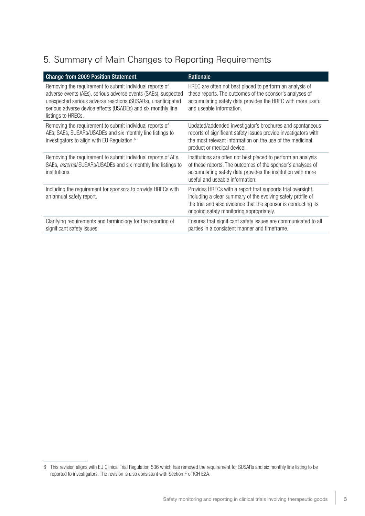## 5. Summary of Main Changes to Reporting Requirements

| <b>Change from 2009 Position Statement</b>                                                                                                                                                                                                                                       | Rationale                                                                                                                                                                                                                                |
|----------------------------------------------------------------------------------------------------------------------------------------------------------------------------------------------------------------------------------------------------------------------------------|------------------------------------------------------------------------------------------------------------------------------------------------------------------------------------------------------------------------------------------|
| Removing the requirement to submit individual reports of<br>adverse events (AEs), serious adverse events (SAEs), suspected<br>unexpected serious adverse reactions (SUSARs), unanticipated<br>serious adverse device effects (USADEs) and six monthly line<br>listings to HRECs. | HREC are often not best placed to perform an analysis of<br>these reports. The outcomes of the sponsor's analyses of<br>accumulating safety data provides the HREC with more useful<br>and useable information.                          |
| Removing the requirement to submit individual reports of<br>AEs, SAEs, SUSARs/USADEs and six monthly line listings to<br>investigators to align with EU Regulation. <sup>6</sup>                                                                                                 | Updated/addended investigator's brochures and spontaneous<br>reports of significant safety issues provide investigators with<br>the most relevant information on the use of the medicinal<br>product or medical device.                  |
| Removing the requirement to submit individual reports of AEs,<br>SAEs, external SUSARs/USADEs and six monthly line listings to<br>institutions.                                                                                                                                  | Institutions are often not best placed to perform an analysis<br>of these reports. The outcomes of the sponsor's analyses of<br>accumulating safety data provides the institution with more<br>useful and useable information.           |
| Including the requirement for sponsors to provide HRECs with<br>an annual safety report.                                                                                                                                                                                         | Provides HRECs with a report that supports trial oversight,<br>including a clear summary of the evolving safety profile of<br>the trial and also evidence that the sponsor is conducting its<br>ongoing safety monitoring appropriately. |
| Clarifying requirements and terminology for the reporting of<br>significant safety issues.                                                                                                                                                                                       | Ensures that significant safety issues are communicated to all<br>parties in a consistent manner and timeframe.                                                                                                                          |

<sup>6</sup> This revision aligns with EU Clinical Trial Regulation 536 which has removed the requirement for SUSARs and six monthly line listing to be reported to investigators. The revision is also consistent with Section F of ICH E2A.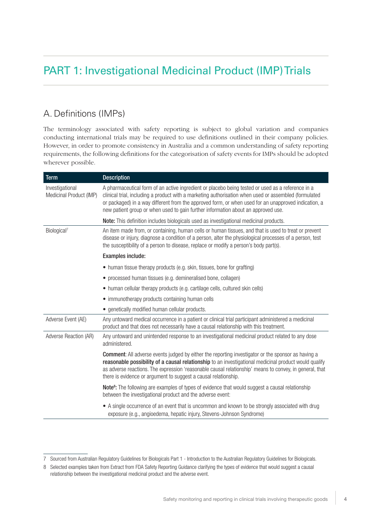## PART 1: Investigational Medicinal Product (IMP) Trials

### A. Definitions (IMPs)

The terminology associated with safety reporting is subject to global variation and companies conducting international trials may be required to use definitions outlined in their company policies. However, in order to promote consistency in Australia and a common understanding of safety reporting requirements, the following definitions for the categorisation of safety events for IMPs should be adopted wherever possible.

| <b>Term</b>                                | <b>Description</b>                                                                                                                                                                                                                                                                                                                                                                                      |
|--------------------------------------------|---------------------------------------------------------------------------------------------------------------------------------------------------------------------------------------------------------------------------------------------------------------------------------------------------------------------------------------------------------------------------------------------------------|
| Investigational<br>Medicinal Product (IMP) | A pharmaceutical form of an active ingredient or placebo being tested or used as a reference in a<br>clinical trial, including a product with a marketing authorisation when used or assembled (formulated<br>or packaged) in a way different from the approved form, or when used for an unapproved indication, a<br>new patient group or when used to gain further information about an approved use. |
|                                            | Note: This definition includes biologicals used as investigational medicinal products.                                                                                                                                                                                                                                                                                                                  |
| Biological <sup>7</sup>                    | An item made from, or containing, human cells or human tissues, and that is used to treat or prevent<br>disease or injury, diagnose a condition of a person, alter the physiological processes of a person, test<br>the susceptibility of a person to disease, replace or modify a person's body part(s).                                                                                               |
|                                            | Examples include:                                                                                                                                                                                                                                                                                                                                                                                       |
|                                            | • human tissue therapy products (e.g. skin, tissues, bone for grafting)                                                                                                                                                                                                                                                                                                                                 |
|                                            | • processed human tissues (e.g. demineralised bone, collagen)                                                                                                                                                                                                                                                                                                                                           |
|                                            | • human cellular therapy products (e.g. cartilage cells, cultured skin cells)                                                                                                                                                                                                                                                                                                                           |
|                                            | • immunotherapy products containing human cells                                                                                                                                                                                                                                                                                                                                                         |
|                                            | • genetically modified human cellular products.                                                                                                                                                                                                                                                                                                                                                         |
| Adverse Event (AE)                         | Any untoward medical occurrence in a patient or clinical trial participant administered a medicinal<br>product and that does not necessarily have a causal relationship with this treatment.                                                                                                                                                                                                            |
| Adverse Reaction (AR)                      | Any untoward and unintended response to an investigational medicinal product related to any dose<br>administered.                                                                                                                                                                                                                                                                                       |
|                                            | <b>Comment:</b> All adverse events judged by either the reporting investigator or the sponsor as having a<br>reasonable possibility of a causal relationship to an investigational medicinal product would qualify<br>as adverse reactions. The expression 'reasonable causal relationship' means to convey, in general, that<br>there is evidence or argument to suggest a causal relationship.        |
|                                            | Note <sup>8</sup> : The following are examples of types of evidence that would suggest a causal relationship<br>between the investigational product and the adverse event:                                                                                                                                                                                                                              |
|                                            | • A single occurrence of an event that is uncommon and known to be strongly associated with drug<br>exposure (e.g., angioedema, hepatic injury, Stevens-Johnson Syndrome)                                                                                                                                                                                                                               |

<sup>7</sup> Sourced from Australian Regulatory Guidelines for Biologicals Part 1 - Introduction to the Australian Regulatory Guidelines for Biologicals.

<sup>8</sup> Selected examples taken from Extract from FDA Safety Reporting Guidance clarifying the types of evidence that would suggest a causal relationship between the investigational medicinal product and the adverse event.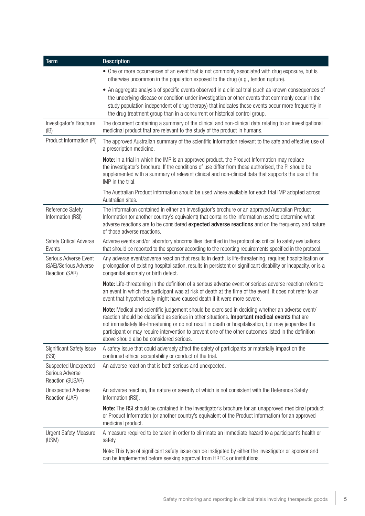| <b>Term</b>                                                        | <b>Description</b>                                                                                                                                                                                                                                                                                                                                                                                                                                                |
|--------------------------------------------------------------------|-------------------------------------------------------------------------------------------------------------------------------------------------------------------------------------------------------------------------------------------------------------------------------------------------------------------------------------------------------------------------------------------------------------------------------------------------------------------|
|                                                                    | • One or more occurrences of an event that is not commonly associated with drug exposure, but is<br>otherwise uncommon in the population exposed to the drug (e.g., tendon rupture).                                                                                                                                                                                                                                                                              |
|                                                                    | • An aggregate analysis of specific events observed in a clinical trial (such as known consequences of<br>the underlying disease or condition under investigation or other events that commonly occur in the<br>study population independent of drug therapy) that indicates those events occur more frequently in<br>the drug treatment group than in a concurrent or historical control group.                                                                  |
| Investigator's Brochure<br>(IB)                                    | The document containing a summary of the clinical and non-clinical data relating to an investigational<br>medicinal product that are relevant to the study of the product in humans.                                                                                                                                                                                                                                                                              |
| Product Information (PI)                                           | The approved Australian summary of the scientific information relevant to the safe and effective use of<br>a prescription medicine.                                                                                                                                                                                                                                                                                                                               |
|                                                                    | Note: In a trial in which the IMP is an approved product, the Product Information may replace<br>the investigator's brochure. If the conditions of use differ from those authorised, the PI should be<br>supplemented with a summary of relevant clinical and non-clinical data that supports the use of the<br>IMP in the trial.                                                                                                                                 |
|                                                                    | The Australian Product Information should be used where available for each trial IMP adopted across<br>Australian sites.                                                                                                                                                                                                                                                                                                                                          |
| Reference Safety<br>Information (RSI)                              | The information contained in either an investigator's brochure or an approved Australian Product<br>Information (or another country's equivalent) that contains the information used to determine what<br>adverse reactions are to be considered expected adverse reactions and on the frequency and nature<br>of those adverse reactions.                                                                                                                        |
| Safety Critical Adverse<br>Events                                  | Adverse events and/or laboratory abnormalities identified in the protocol as critical to safety evaluations<br>that should be reported to the sponsor according to the reporting requirements specified in the protocol.                                                                                                                                                                                                                                          |
| Serious Adverse Event<br>(SAE)/Serious Adverse<br>Reaction (SAR)   | Any adverse event/adverse reaction that results in death, is life-threatening, requires hospitalisation or<br>prolongation of existing hospitalisation, results in persistent or significant disability or incapacity, or is a<br>congenital anomaly or birth defect.                                                                                                                                                                                             |
|                                                                    | Note: Life-threatening in the definition of a serious adverse event or serious adverse reaction refers to<br>an event in which the participant was at risk of death at the time of the event. It does not refer to an<br>event that hypothetically might have caused death if it were more severe.                                                                                                                                                                |
|                                                                    | Note: Medical and scientific judgement should be exercised in deciding whether an adverse event/<br>reaction should be classified as serious in other situations. Important medical events that are<br>not immediately life-threatening or do not result in death or hospitalisation, but may jeopardise the<br>participant or may require intervention to prevent one of the other outcomes listed in the definition<br>above should also be considered serious. |
| <b>Significant Safety Issue</b><br>(SSI)                           | A safety issue that could adversely affect the safety of participants or materially impact on the<br>continued ethical acceptability or conduct of the trial.                                                                                                                                                                                                                                                                                                     |
| <b>Suspected Unexpected</b><br>Serious Adverse<br>Reaction (SUSAR) | An adverse reaction that is both serious and unexpected.                                                                                                                                                                                                                                                                                                                                                                                                          |
| <b>Unexpected Adverse</b><br>Reaction (UAR)                        | An adverse reaction, the nature or severity of which is not consistent with the Reference Safety<br>Information (RSI).                                                                                                                                                                                                                                                                                                                                            |
|                                                                    | Note: The RSI should be contained in the investigator's brochure for an unapproved medicinal product<br>or Product Information (or another country's equivalent of the Product Information) for an approved<br>medicinal product.                                                                                                                                                                                                                                 |
| <b>Urgent Safety Measure</b><br>(USM)                              | A measure required to be taken in order to eliminate an immediate hazard to a participant's health or<br>safety.                                                                                                                                                                                                                                                                                                                                                  |
|                                                                    | Note: This type of significant safety issue can be instigated by either the investigator or sponsor and<br>can be implemented before seeking approval from HRECs or institutions.                                                                                                                                                                                                                                                                                 |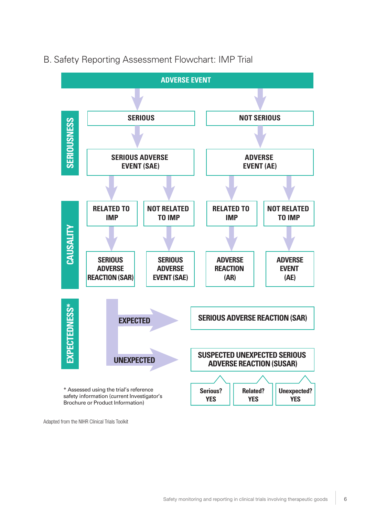



Adapted from the NIHR Clinical Trials Toolkit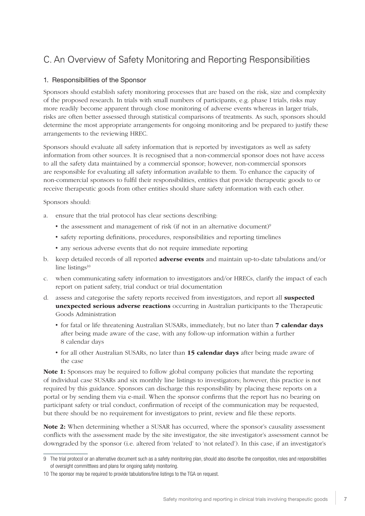## C. An Overview of Safety Monitoring and Reporting Responsibilities

#### 1. Responsibilities of the Sponsor

Sponsors should establish safety monitoring processes that are based on the risk, size and complexity of the proposed research. In trials with small numbers of participants, e.g. phase I trials, risks may more readily become apparent through close monitoring of adverse events whereas in larger trials, risks are often better assessed through statistical comparisons of treatments. As such, sponsors should determine the most appropriate arrangements for ongoing monitoring and be prepared to justify these arrangements to the reviewing HREC.

Sponsors should evaluate all safety information that is reported by investigators as well as safety information from other sources. It is recognised that a non-commercial sponsor does not have access to all the safety data maintained by a commercial sponsor; however, non-commercial sponsors are responsible for evaluating all safety information available to them. To enhance the capacity of non-commercial sponsors to fulfil their responsibilities, entities that provide therapeutic goods to or receive therapeutic goods from other entities should share safety information with each other.

Sponsors should:

- a. ensure that the trial protocol has clear sections describing:
	- the assessment and management of risk (if not in an alternative document)<sup>9</sup>
	- safety reporting definitions, procedures, responsibilities and reporting timelines
	- any serious adverse events that do not require immediate reporting
- b. keep detailed records of all reported **adverse events** and maintain up-to-date tabulations and/or line listings $10$
- c. when communicating safety information to investigators and/or HRECs, clarify the impact of each report on patient safety, trial conduct or trial documentation
- d. assess and categorise the safety reports received from investigators, and report all **suspected** unexpected serious adverse reactions occurring in Australian participants to the Therapeutic Goods Administration
	- for fatal or life threatening Australian SUSARs, immediately, but no later than 7 calendar days after being made aware of the case, with any follow-up information within a further 8 calendar days
	- for all other Australian SUSARs, no later than **15 calendar days** after being made aware of the case

Note 1: Sponsors may be required to follow global company policies that mandate the reporting of individual case SUSARs and six monthly line listings to investigators; however, this practice is not required by this guidance. Sponsors can discharge this responsibility by placing these reports on a portal or by sending them via e-mail. When the sponsor confirms that the report has no bearing on participant safety or trial conduct, confirmation of receipt of the communication may be requested, but there should be no requirement for investigators to print, review and file these reports.

Note 2: When determining whether a SUSAR has occurred, where the sponsor's causality assessment conflicts with the assessment made by the site investigator, the site investigator's assessment cannot be downgraded by the sponsor (i.e. altered from 'related' to 'not related'). In this case, if an investigator's

<sup>9</sup> The trial protocol or an alternative document such as a safety monitoring plan, should also describe the composition, roles and responsibilities of oversight committtees and plans for ongoing safety monitoring.

<sup>10</sup> The sponsor may be required to provide tabulations/line listings to the TGA on request.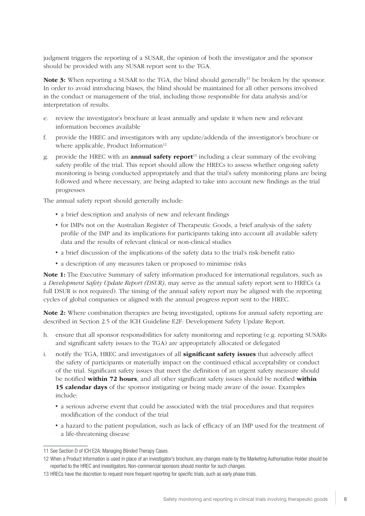judgment triggers the reporting of a SUSAR, the opinion of both the investigator and the sponsor should be provided with any SUSAR report sent to the TGA.

**Note 3:** When reporting a SUSAR to the TGA, the blind should generally<sup>11</sup> be broken by the sponsor. In order to avoid introducing biases, the blind should be maintained for all other persons involved in the conduct or management of the trial, including those responsible for data analysis and/or interpretation of results.

- e. review the investigator's brochure at least annually and update it when new and relevant information becomes available
- f. provide the HREC and investigators with any update/addenda of the investigator's brochure or where applicable, Product Information $12$
- g. provide the HREC with an **annual safety report**<sup>13</sup> including a clear summary of the evolving safety profile of the trial. This report should allow the HRECs to assess whether ongoing safety monitoring is being conducted appropriately and that the trial's safety monitoring plans are being followed and where necessary, are being adapted to take into account new findings as the trial progresses

The annual safety report should generally include:

- a brief description and analysis of new and relevant findings
- for IMPs not on the Australian Register of Therapeutic Goods, a brief analysis of the safety profile of the IMP and its implications for participants taking into account all available safety data and the results of relevant clinical or non-clinical studies
- a brief discussion of the implications of the safety data to the trial's risk-benefit ratio
- a description of any measures taken or proposed to minimise risks

Note 1: The Executive Summary of safety information produced for international regulators, such as a *Development Safety Update Report (DSUR)*, may serve as the annual safety report sent to HRECs (a full DSUR is not required). The timing of the annual safety report may be aligned with the reporting cycles of global companies or aligned with the annual progress report sent to the HREC.

Note 2: Where combination therapies are being investigated, options for annual safety reporting are described in Section 2.5 of the ICH Guideline E2F: Development Safety Update Report.

- h. ensure that all sponsor responsibilities for safety monitoring and reporting (e.g. reporting SUSARs and significant safety issues to the TGA) are appropriately allocated or delegated
- i. notify the TGA, HREC and investigators of all **significant safety issues** that adversely affect the safety of participants or materially impact on the continued ethical acceptability or conduct of the trial. Significant safety issues that meet the definition of an urgent safety measure should be notified within 72 hours, and all other significant safety issues should be notified within 15 calendar days of the sponsor instigating or being made aware of the issue. Examples include:
	- a serious adverse event that could be associated with the trial procedures and that requires modification of the conduct of the trial
	- a hazard to the patient population, such as lack of efficacy of an IMP used for the treatment of a life-threatening disease

<sup>11</sup> See Section D of ICH E2A: Managing Blinded Therapy Cases.

<sup>12</sup> When a Product Information is used in place of an investigator's brochure, any changes made by the Marketing Authorisation Holder should be reported to the HREC and investigators. Non-commercial sponsors should monitor for such changes.

<sup>13</sup> HRECs have the discretion to request more frequent reporting for specific trials, such as early phase trials.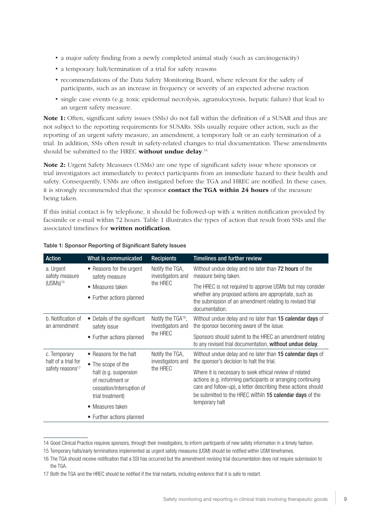- a major safety finding from a newly completed animal study (such as carcinogenicity)
- a temporary halt/termination of a trial for safety reasons
- recommendations of the Data Safety Monitoring Board, where relevant for the safety of participants, such as an increase in frequency or severity of an expected adverse reaction
- single case events (e.g. toxic epidermal necrolysis, agranulocytosis, hepatic failure) that lead to an urgent safety measure.

Note 1: Often, significant safety issues (SSIs) do not fall within the definition of a SUSAR and thus are not subject to the reporting requirements for SUSARs. SSIs usually require other action, such as the reporting of an urgent safety measure, an amendment, a temporary halt or an early termination of a trial. In addition, SSIs often result in safety-related changes to trial documentation. These amendments should be submitted to the HREC without undue delay.<sup>14</sup>

Note 2: Urgent Safety Measures (USMs) are one type of significant safety issue where sponsors or trial investigators act immediately to protect participants from an immediate hazard to their health and safety. Consequently, USMs are often instigated before the TGA and HREC are notified. In these cases, it is strongly recommended that the sponsor **contact the TGA within 24 hours** of the measure being taken.

If this initial contact is by telephone, it should be followed-up with a written notification provided by facsimile or e-mail within 72 hours. Table 1 illustrates the types of action that result from SSIs and the associated timelines for written notification.

| <b>Action</b>                                                       | What is communicated                                                                        | <b>Recipients</b>                                   | <b>Timelines and further review</b>                                                                                                                                                                                                                 |
|---------------------------------------------------------------------|---------------------------------------------------------------------------------------------|-----------------------------------------------------|-----------------------------------------------------------------------------------------------------------------------------------------------------------------------------------------------------------------------------------------------------|
| a. Urgent<br>safety measure                                         | • Reasons for the urgent<br>safety measure                                                  | Notify the TGA,<br>investigators and                | Without undue delay and no later than 72 hours of the<br>measure being taken.                                                                                                                                                                       |
| $(USMs)^{15}$                                                       | • Measures taken                                                                            | the HREC                                            | The HREC is not required to approve USMs but may consider<br>whether any proposed actions are appropriate, such as<br>the submission of an amendment relating to revised trial<br>documentation.                                                    |
|                                                                     | • Further actions planned                                                                   |                                                     |                                                                                                                                                                                                                                                     |
| b. Notification of<br>an amendment                                  | • Details of the significant<br>safety issue                                                | Notify the TGA <sup>16</sup> ,<br>investigators and | Without undue delay and no later than 15 calendar days of<br>the sponsor becoming aware of the issue.                                                                                                                                               |
|                                                                     | • Further actions planned                                                                   | the HREC                                            | Sponsors should submit to the HREC an amendment relating<br>to any revised trial documentation, without undue delay.                                                                                                                                |
| c. Temporary<br>halt of a trial for<br>safety reasons <sup>17</sup> | • Reasons for the halt                                                                      | Notify the TGA,<br>investigators and<br>the HREC    | Without undue delay and no later than 15 calendar days of                                                                                                                                                                                           |
|                                                                     | • The scope of the                                                                          |                                                     | the sponsor's decision to halt the trial.                                                                                                                                                                                                           |
|                                                                     | halt (e.g. suspension<br>of recruitment or<br>cessation/interruption of<br>trial treatment) |                                                     | Where it is necessary to seek ethical review of related<br>actions (e.g. informing participants or arranging continuing<br>care and follow-up), a letter describing these actions should<br>be submitted to the HREC within 15 calendar days of the |
|                                                                     | • Measures taken                                                                            |                                                     | temporary halt                                                                                                                                                                                                                                      |
|                                                                     | • Further actions planned                                                                   |                                                     |                                                                                                                                                                                                                                                     |

#### Table 1: Sponsor Reporting of Significant Safety Issues

<sup>14</sup> Good Clinical Practice requires sponsors, through their investigators, to inform particpants of new safety information in a timely fashion.

<sup>15</sup> Temporary halts/early terminations implemented as urgent safety measures (USM) should be notified within USM timeframes.

<sup>16</sup> The TGA should receive notification that a SSI has occurred but the amendment revising trial documentation does not require submission to the TGA.

<sup>17</sup> Both the TGA and the HREC should be notified if the trial restarts, including evidence that it is safe to restart.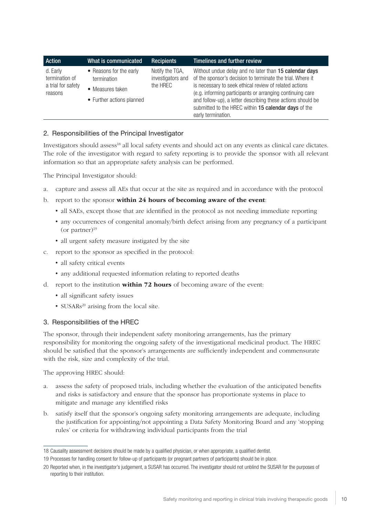| Action                                                      | What is communicated                                                                    | <b>Recipients</b>                                | Timelines and further review                                                                                                                                                                                                                                                                                                                                                             |
|-------------------------------------------------------------|-----------------------------------------------------------------------------------------|--------------------------------------------------|------------------------------------------------------------------------------------------------------------------------------------------------------------------------------------------------------------------------------------------------------------------------------------------------------------------------------------------------------------------------------------------|
| d. Early<br>termination of<br>a trial for safety<br>reasons | • Reasons for the early<br>termination<br>• Measures taken<br>• Further actions planned | Notify the TGA,<br>investigators and<br>the HRFC | Without undue delay and no later than 15 calendar days<br>of the sponsor's decision to terminate the trial. Where it<br>is necessary to seek ethical review of related actions<br>(e.g. informing participants or arranging continuing care<br>and follow-up), a letter describing these actions should be<br>submitted to the HREC within 15 calendar days of the<br>early termination. |

#### 2. Responsibilities of the Principal Investigator

Investigators should assess<sup>18</sup> all local safety events and should act on any events as clinical care dictates. The role of the investigator with regard to safety reporting is to provide the sponsor with all relevant information so that an appropriate safety analysis can be performed.

The Principal Investigator should:

- a. capture and assess all AEs that occur at the site as required and in accordance with the protocol
- b. report to the sponsor within 24 hours of becoming aware of the event:
	- all SAEs, except those that are identified in the protocol as not needing immediate reporting
	- any occurrences of congenital anomaly/birth defect arising from any pregnancy of a participant (or partner) $19$
	- all urgent safety measure instigated by the site
- c. report to the sponsor as specified in the protocol:
	- all safety critical events
	- any additional requested information relating to reported deaths
- d. report to the institution **within 72 hours** of becoming aware of the event:
	- all significant safety issues
	- SUSARs<sup>20</sup> arising from the local site.

#### 3. Responsibilities of the HREC

The sponsor, through their independent safety monitoring arrangements, has the primary responsibility for monitoring the ongoing safety of the investigational medicinal product. The HREC should be satisfied that the sponsor's arrangements are sufficiently independent and commensurate with the risk, size and complexity of the trial.

The approving HREC should:

- a. assess the safety of proposed trials, including whether the evaluation of the anticipated benefits and risks is satisfactory and ensure that the sponsor has proportionate systems in place to mitigate and manage any identified risks
- b. satisfy itself that the sponsor's ongoing safety monitoring arrangements are adequate, including the justification for appointing/not appointing a Data Safety Monitoring Board and any 'stopping rules' or criteria for withdrawing individual participants from the trial

<sup>18</sup> Causality assessment decisions should be made by a qualified physician, or when appropriate, a qualified dentist.

<sup>19</sup> Processes for handling consent for follow-up of participants (or pregnant partners of participants) should be in place.

<sup>20</sup> Reported when, in the investigator's judgement, a SUSAR has occurred. The investigator should not unblind the SUSAR for the purposes of reporting to their institution.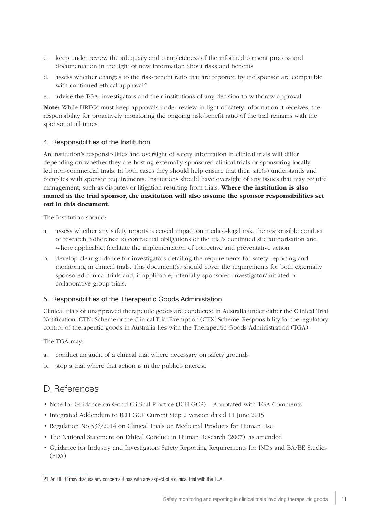- c. keep under review the adequacy and completeness of the informed consent process and documentation in the light of new information about risks and benefits
- d. assess whether changes to the risk-benefit ratio that are reported by the sponsor are compatible with continued ethical approval<sup>21</sup>
- e. advise the TGA, investigators and their institutions of any decision to withdraw approval

Note: While HRECs must keep approvals under review in light of safety information it receives, the responsibility for proactively monitoring the ongoing risk-benefit ratio of the trial remains with the sponsor at all times.

#### 4. Responsibilities of the Institution

An institution's responsibilities and oversight of safety information in clinical trials will differ depending on whether they are hosting externally sponsored clinical trials or sponsoring locally led non-commercial trials. In both cases they should help ensure that their site(s) understands and complies with sponsor requirements. Institutions should have oversight of any issues that may require management, such as disputes or litigation resulting from trials. Where the institution is also named as the trial sponsor, the institution will also assume the sponsor responsibilities set out in this document.

The Institution should:

- a. assess whether any safety reports received impact on medico-legal risk, the responsible conduct of research, adherence to contractual obligations or the trial's continued site authorisation and, where applicable, facilitate the implementation of corrective and preventative action
- b. develop clear guidance for investigators detailing the requirements for safety reporting and monitoring in clinical trials. This document(s) should cover the requirements for both externally sponsored clinical trials and, if applicable, internally sponsored investigator/initiated or collaborative group trials.

#### 5. Responsibilities of the Therapeutic Goods Administation

Clinical trials of unapproved therapeutic goods are conducted in Australia under either the Clinical Trial Notification (CTN) Scheme or the Clinical Trial Exemption (CTX) Scheme. Responsibility for the regulatory control of therapeutic goods in Australia lies with the Therapeutic Goods Administration (TGA).

The TGA may:

- a. conduct an audit of a clinical trial where necessary on safety grounds
- b. stop a trial where that action is in the public's interest.

### D. References

- Note for Guidance on Good Clinical Practice (ICH GCP) Annotated with TGA Comments
- Integrated Addendum to ICH GCP Current Step 2 version dated 11 June 2015
- Regulation No 536/2014 on Clinical Trials on Medicinal Products for Human Use
- The National Statement on Ethical Conduct in Human Research (2007), as amended
- Guidance for Industry and Investigators Safety Reporting Requirements for INDs and BA/BE Studies (FDA)

<sup>21</sup> An HREC may discuss any concerns it has with any aspect of a clinical trial with the TGA.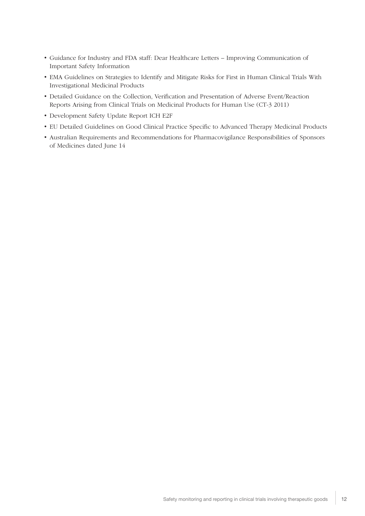- Guidance for Industry and FDA staff: Dear Healthcare Letters Improving Communication of Important Safety Information
- EMA Guidelines on Strategies to Identify and Mitigate Risks for First in Human Clinical Trials With Investigational Medicinal Products
- Detailed Guidance on the Collection, Verification and Presentation of Adverse Event/Reaction Reports Arising from Clinical Trials on Medicinal Products for Human Use (CT-3 2011)
- Development Safety Update Report ICH E2F
- EU Detailed Guidelines on Good Clinical Practice Specific to Advanced Therapy Medicinal Products
- Australian Requirements and Recommendations for Pharmacovigilance Responsibilities of Sponsors of Medicines dated June 14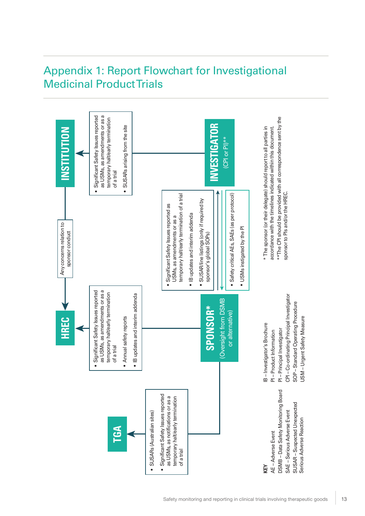## Appendix 1: Report Flowchart for Investigational Medicinal Product Trials

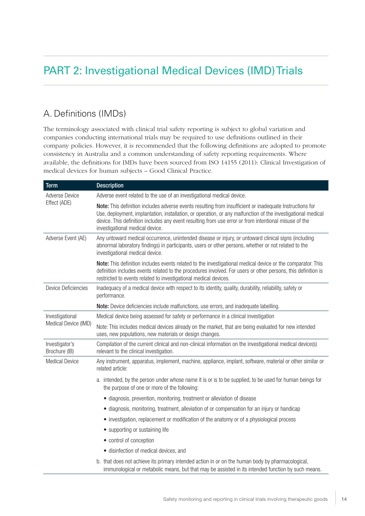## PART 2: Investigational Medical Devices (IMD) Trials

### A. Definitions (IMDs)

The terminology associated with clinical trial safety reporting is subject to global variation and companies conducting international trials may be required to use definitions outlined in their company policies. However, it is recommended that the following definitions are adopted to promote consistency in Australia and a common understanding of safety reporting requirements. Where available, the definitions for IMDs have been sourced from ISO 14155 (2011): Clinical Investigation of medical devices for human subjects – Good Clinical Practice.

| <b>Term</b>                     | <b>Description</b>                                                                                                                                                                                                                                                                                                                                                   |  |
|---------------------------------|----------------------------------------------------------------------------------------------------------------------------------------------------------------------------------------------------------------------------------------------------------------------------------------------------------------------------------------------------------------------|--|
| <b>Adverse Device</b>           | Adverse event related to the use of an investigational medical device.                                                                                                                                                                                                                                                                                               |  |
| Effect (ADE)                    | Note: This definition includes adverse events resulting from insufficient or inadequate Instructions for<br>Use, deployment, implantation, installation, or operation, or any malfunction of the investigational medical<br>device. This definition includes any event resulting from use error or from intentional misuse of the<br>investigational medical device. |  |
| Adverse Event (AE)              | Any untoward medical occurrence, unintended disease or injury, or untoward clinical signs (including<br>abnormal laboratory findings) in participants, users or other persons, whether or not related to the<br>investigational medical device.                                                                                                                      |  |
|                                 | Note: This definition includes events related to the investigational medical device or the comparator. This<br>definition includes events related to the procedures involved. For users or other persons, this definition is<br>restricted to events related to investigational medical devices.                                                                     |  |
| <b>Device Deficiencies</b>      | Inadequacy of a medical device with respect to its identity, quality, durability, reliability, safety or<br>performance.                                                                                                                                                                                                                                             |  |
|                                 | Note: Device deficiencies include malfunctions, use errors, and inadequate labelling.                                                                                                                                                                                                                                                                                |  |
| Investigational                 | Medical device being assessed for safety or performance in a clinical investigation                                                                                                                                                                                                                                                                                  |  |
| Medical Device (IMD)            | Note: This includes medical devices already on the market, that are being evaluated for new intended<br>uses, new populations, new materials or design changes.                                                                                                                                                                                                      |  |
| Investigator's<br>Brochure (IB) | Compilation of the current clinical and non-clinical information on the investigational medical device(s)<br>relevant to the clinical investigation.                                                                                                                                                                                                                 |  |
| <b>Medical Device</b>           | Any instrument, apparatus, implement, machine, appliance, implant, software, material or other similar or<br>related article:                                                                                                                                                                                                                                        |  |
|                                 | a. intended, by the person under whose name it is or is to be supplied, to be used for human beings for<br>the purpose of one or more of the following:                                                                                                                                                                                                              |  |
|                                 | • diagnosis, prevention, monitoring, treatment or alleviation of disease                                                                                                                                                                                                                                                                                             |  |
|                                 | • diagnosis, monitoring, treatment, alleviation of or compensation for an injury or handicap                                                                                                                                                                                                                                                                         |  |
|                                 | • investigation, replacement or modification of the anatomy or of a physiological process                                                                                                                                                                                                                                                                            |  |
|                                 | • supporting or sustaining life                                                                                                                                                                                                                                                                                                                                      |  |
|                                 | • control of conception                                                                                                                                                                                                                                                                                                                                              |  |
|                                 | · disinfection of medical devices, and                                                                                                                                                                                                                                                                                                                               |  |
|                                 | b. that does not achieve its primary intended action in or on the human body by pharmacological,<br>immunological or metabolic means, but that may be assisted in its intended function by such means.                                                                                                                                                               |  |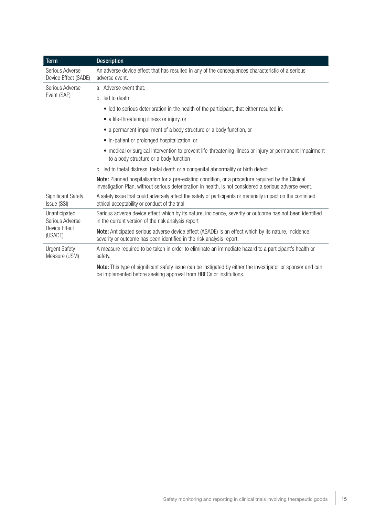| <b>Term</b>                                                  | <b>Description</b>                                                                                                                                                                                             |  |
|--------------------------------------------------------------|----------------------------------------------------------------------------------------------------------------------------------------------------------------------------------------------------------------|--|
| Serious Adverse<br>Device Effect (SADE)                      | An adverse device effect that has resulted in any of the consequences characteristic of a serious<br>adverse event.                                                                                            |  |
| Serious Adverse                                              | a. Adverse event that:                                                                                                                                                                                         |  |
| Event (SAE)                                                  | b. led to death                                                                                                                                                                                                |  |
|                                                              | • led to serious deterioration in the health of the participant, that either resulted in:                                                                                                                      |  |
|                                                              | • a life-threatening illness or injury, or                                                                                                                                                                     |  |
|                                                              | • a permanent impairment of a body structure or a body function, or                                                                                                                                            |  |
|                                                              | • in-patient or prolonged hospitalization, or                                                                                                                                                                  |  |
|                                                              | • medical or surgical intervention to prevent life-threatening illness or injury or permanent impairment<br>to a body structure or a body function                                                             |  |
|                                                              | c. led to foetal distress, foetal death or a congenital abnormality or birth defect                                                                                                                            |  |
|                                                              | Note: Planned hospitalisation for a pre-existing condition, or a procedure required by the Clinical<br>Investigation Plan, without serious deterioration in health, is not considered a serious adverse event. |  |
| <b>Significant Safety</b><br>Issue (SSI)                     | A safety issue that could adversely affect the safety of participants or materially impact on the continued<br>ethical acceptability or conduct of the trial.                                                  |  |
| Unanticipated<br>Serious Adverse<br>Device Effect<br>(USADE) | Serious adverse device effect which by its nature, incidence, severity or outcome has not been identified<br>in the current version of the risk analysis report                                                |  |
|                                                              | Note: Anticipated serious adverse device effect (ASADE) is an effect which by its nature, incidence,<br>severity or outcome has been identified in the risk analysis report.                                   |  |
| <b>Urgent Safety</b><br>Measure (USM)                        | A measure required to be taken in order to eliminate an immediate hazard to a participant's health or<br>safety.                                                                                               |  |
|                                                              | Note: This type of significant safety issue can be instigated by either the investigator or sponsor and can<br>be implemented before seeking approval from HRECs or institutions.                              |  |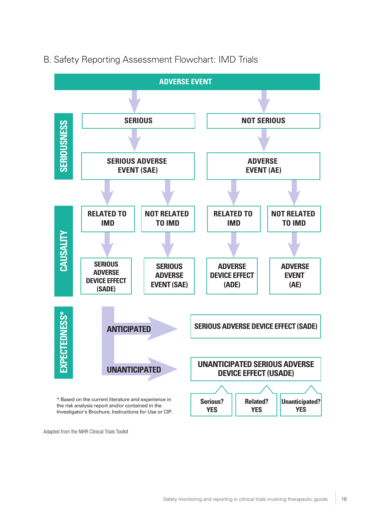

### B. Safety Reporting Assessment Flowchart: IMD Trials

Adapted from the NIHR Clinical Trials Toolkit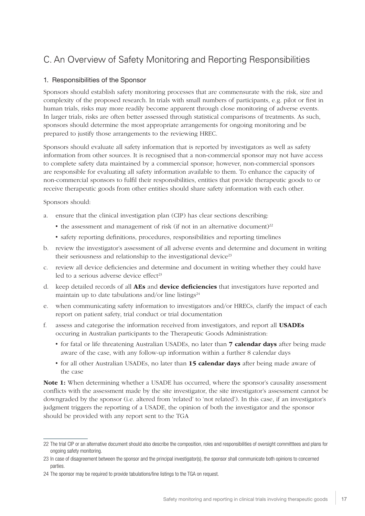## C. An Overview of Safety Monitoring and Reporting Responsibilities

#### 1. Responsibilities of the Sponsor

Sponsors should establish safety monitoring processes that are commensurate with the risk, size and complexity of the proposed research. In trials with small numbers of participants, e.g. pilot or first in human trials, risks may more readily become apparent through close monitoring of adverse events. In larger trials, risks are often better assessed through statistical comparisons of treatments. As such, sponsors should determine the most appropriate arrangements for ongoing monitoring and be prepared to justify those arrangements to the reviewing HREC.

Sponsors should evaluate all safety information that is reported by investigators as well as safety information from other sources. It is recognised that a non-commercial sponsor may not have access to complete safety data maintained by a commercial sponsor; however, non-commercial sponsors are responsible for evaluating all safety information available to them. To enhance the capacity of non-commercial sponsors to fulfil their responsibilities, entities that provide therapeutic goods to or receive therapeutic goods from other entities should share safety information with each other.

Sponsors should:

- a. ensure that the clinical investigation plan (CIP) has clear sections describing:
	- the assessment and management of risk (if not in an alternative document)<sup>22</sup>
	- safety reporting definitions, procedures, responsibilities and reporting timelines
- b. review the investigator's assessment of all adverse events and determine and document in writing their seriousness and relationship to the investigational device<sup>23</sup>
- c. review all device deficiencies and determine and document in writing whether they could have led to a serious adverse device effect $23$
- d. keep detailed records of all AEs and device deficiencies that investigators have reported and maintain up to date tabulations and/or line listings<sup>24</sup>
- e. when communicating safety information to investigators and/or HRECs, clarify the impact of each report on patient safety, trial conduct or trial documentation
- f. assess and categorise the information received from investigators, and report all USADEs occuring in Australian participants to the Therapeutic Goods Administration:
	- for fatal or life threatening Australian USADEs, no later than **7 calendar days** after being made aware of the case, with any follow-up information within a further 8 calendar days
	- for all other Australian USADEs, no later than 15 calendar days after being made aware of the case

Note 1: When determining whether a USADE has occurred, where the sponsor's causality assessment conflicts with the assessment made by the site investigator, the site investigator's assessment cannot be downgraded by the sponsor (i.e. altered from 'related' to 'not related'). In this case, if an investigator's judgment triggers the reporting of a USADE, the opinion of both the investigator and the sponsor should be provided with any report sent to the TGA

<sup>22</sup> The trial CIP or an alternative document should also describe the composition, roles and responsibilities of oversight committees and plans for ongoing safety monitoring.

<sup>23</sup> In case of disagreement between the sponsor and the principal investigator(s), the sponsor shall communicate both opinions to concerned parties.

<sup>24</sup> The sponsor may be required to provide tabulations/line listings to the TGA on request.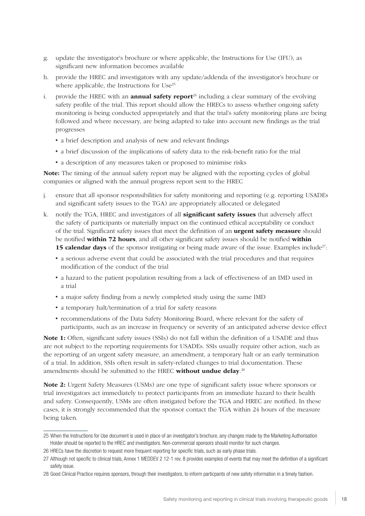- g. update the investigator's brochure or where applicable, the Instructions for Use (IFU), as significant new information becomes available
- h. provide the HREC and investigators with any update/addenda of the investigator's brochure or where applicable, the Instructions for Use<sup>25</sup>
- i. provide the HREC with an **annual safety report**<sup>26</sup> including a clear summary of the evolving safety profile of the trial. This report should allow the HRECs to assess whether ongoing safety monitoring is being conducted appropriately and that the trial's safety monitoring plans are being followed and where necessary, are being adapted to take into account new findings as the trial progresses
	- a brief description and analysis of new and relevant findings
	- a brief discussion of the implications of safety data to the risk-benefit ratio for the trial
	- a description of any measures taken or proposed to minimise risks

Note: The timing of the annual safety report may be aligned with the reporting cycles of global companies or aligned with the annual progress report sent to the HREC

- j. ensure that all sponsor responsibilities for safety monitoring and reporting (e.g. reporting USADEs and significant safety issues to the TGA) are appropriately allocated or delegated
- k. notify the TGA, HREC and investigators of all **significant safety issues** that adversely affect the safety of participants or materially impact on the continued ethical acceptability or conduct of the trial. Significant safety issues that meet the definition of an **urgent safety measure** should be notified within 72 hours, and all other significant safety issues should be notified within 15 calendar days of the sponsor instigating or being made aware of the issue. Examples include<sup>27</sup>:
	- a serious adverse event that could be associated with the trial procedures and that requires modification of the conduct of the trial
	- a hazard to the patient population resulting from a lack of effectiveness of an IMD used in a trial
	- a major safety finding from a newly completed study using the same IMD
	- a temporary halt/termination of a trial for safety reasons
	- recommendations of the Data Safety Monitoring Board, where relevant for the safety of participants, such as an increase in frequency or severity of an anticipated adverse device effect

Note 1: Often, significant safety issues (SSIs) do not fall within the definition of a USADE and thus are not subject to the reporting requirements for USADEs. SSIs usually require other action, such as the reporting of an urgent safety measure, an amendment, a temporary halt or an early termination of a trial. In addition, SSIs often result in safety-related changes to trial documentation. These amendments should be submitted to the HREC without undue delay.<sup>28</sup>

Note 2: Urgent Safety Measures (USMs) are one type of significant safety issue where sponsors or trial investigators act immediately to protect participants from an immediate hazard to their health and safety. Consequently, USMs are often instigated before the TGA and HREC are notified. In these cases, it is strongly recommended that the sponsor contact the TGA within 24 hours of the measure being taken.

<sup>25</sup> When the Instructions for Use document is used in place of an investigator's brochure, any changes made by the Marketing Authorisation Holder should be reported to the HREC and investigators. Non-commercial sponsors should monitor for such changes.

<sup>26</sup> HRECs have the discretion to request more frequent reporting for specific trials, such as early phase trials.

<sup>27</sup> Although not specific to clinical trials, Annex 1 MEDDEV 2 12-1 rev. 8 provides examples of events that may meet the definition of a significant safety issue.

<sup>28</sup> Good Clinical Practice requires sponsors, through their investigators, to inform particpants of new safety information in a timely fashion.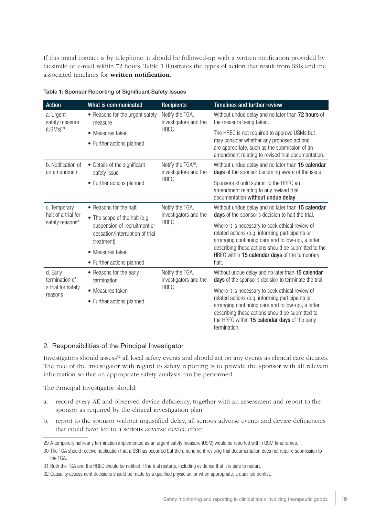If this initial contact is by telephone, it should be followed-up with a written notification provided by facsimile or e-mail within 72 hours. Table 1 illustrates the types of action that result from SSIs and the associated timelines for written notification.

| <b>Action</b>                                               | What is communicated                                                          | <b>Recipients</b>                                       | <b>Timelines and further review</b>                                                                                                                                                                                                                                          |
|-------------------------------------------------------------|-------------------------------------------------------------------------------|---------------------------------------------------------|------------------------------------------------------------------------------------------------------------------------------------------------------------------------------------------------------------------------------------------------------------------------------|
| a. Urgent<br>safety measure                                 | • Reasons for the urgent safety<br>measure                                    | Notify the TGA,<br>investigators and the                | Without undue delay and no later than 72 hours of<br>the measure being taken.                                                                                                                                                                                                |
| $(USMs)^{29}$                                               | • Measures taken                                                              | <b>HREC</b>                                             | The HREC is not required to approve USMs but                                                                                                                                                                                                                                 |
|                                                             | • Further actions planned                                                     |                                                         | may consider whether any proposed actions<br>are appropriate, such as the submission of an<br>amendment relating to revised trial documentation.                                                                                                                             |
| b. Notification of<br>an amendment                          | • Details of the significant<br>safety issue                                  | Notify the TGA <sup>30</sup> ,<br>investigators and the | Without undue delay and no later than 15 calendar<br>days of the sponsor becoming aware of the issue.                                                                                                                                                                        |
|                                                             | • Further actions planned                                                     | <b>HREC</b>                                             | Sponsors should submit to the HREC an<br>amendment relating to any revised trial<br>documentation without undue delay.                                                                                                                                                       |
| c. Temporary                                                | • Reasons for the halt                                                        | Notify the TGA,                                         | Without undue delay and no later than 15 calendar                                                                                                                                                                                                                            |
| halt of a trial for<br>safety reasons <sup>31</sup>         | • The scope of the halt (e.g.                                                 | investigators and the<br><b>HREC</b>                    | days of the sponsor's decision to halt the trial.                                                                                                                                                                                                                            |
|                                                             | suspension of recruitment or<br>cessation/interruption of trial<br>treatment) |                                                         | Where it is necessary to seek ethical review of<br>related actions (e.g. informing participants or<br>arranging continuing care and follow-up), a letter                                                                                                                     |
|                                                             | • Measures taken                                                              |                                                         | describing these actions should be submitted to the<br>HREC within 15 calendar days of the temporary                                                                                                                                                                         |
|                                                             | • Further actions planned                                                     |                                                         | halt.                                                                                                                                                                                                                                                                        |
| d. Early<br>termination of<br>a trial for safety<br>reasons | • Reasons for the early<br>termination                                        | Notify the TGA,<br>investigators and the                | Without undue delay and no later than 15 calendar<br>days of the sponsor's decision to terminate the trial.                                                                                                                                                                  |
|                                                             | • Measures taken                                                              | <b>HREC</b>                                             | Where it is necessary to seek ethical review of<br>related actions (e.g. informing participants or<br>arranging continuing care and follow-up), a letter<br>describing these actions should be submitted to<br>the HREC within 15 calendar days of the early<br>termination. |
|                                                             | • Further actions planned                                                     |                                                         |                                                                                                                                                                                                                                                                              |

|  | Table 1: Sponsor Reporting of Significant Safety Issues |  |
|--|---------------------------------------------------------|--|
|  |                                                         |  |

#### 2. Responsibilities of the Principal Investigator

Investigators should assess<sup>32</sup> all local safety events and should act on any events as clinical care dictates. The role of the investigator with regard to safety reporting is to provide the sponsor with all relevant information so that an appropriate safety analysis can be performed.

The Principal Investigator should:

- a. record every AE and observed device deficiency, together with an assessment and report to the sponsor as required by the clinical investigation plan
- b. report to the sponsor without unjustified delay, all serious adverse events and device deficiencies that could have led to a serious adverse device effect

<sup>29</sup> A temporary halt/early termination implemented as an urgent safety measure (USM) would be reported within USM timeframes.

<sup>30</sup> The TGA should receive notification that a SSI has occurred but the amendment revising trial documentation does not require submission to the TGA.

<sup>31</sup> Both the TGA and the HREC should be notified if the trial restarts, including evidence that it is safe to restart.

<sup>32</sup> Causality assessment decisions should be made by a qualified physician, or when appropriate, a qualified dentist.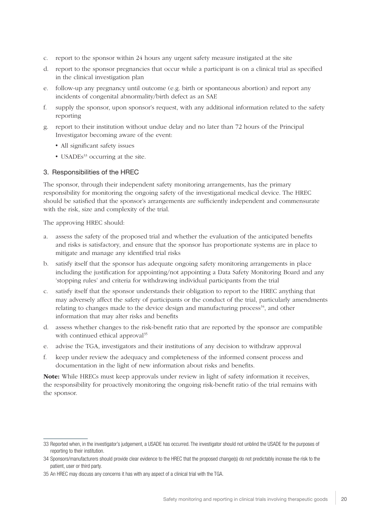- c. report to the sponsor within 24 hours any urgent safety measure instigated at the site
- d. report to the sponsor pregnancies that occur while a participant is on a clinical trial as specified in the clinical investigation plan
- e. follow-up any pregnancy until outcome (e.g. birth or spontaneous abortion) and report any incidents of congenital abnormality/birth defect as an SAE
- f. supply the sponsor, upon sponsor's request, with any additional information related to the safety reporting
- g. report to their institution without undue delay and no later than 72 hours of the Principal Investigator becoming aware of the event:
	- All significant safety issues
	- USADEs $33$  occurring at the site.

#### 3. Responsibilities of the HREC

The sponsor, through their independent safety monitoring arrangements, has the primary responsibility for monitoring the ongoing safety of the investigational medical device. The HREC should be satisfied that the sponsor's arrangements are sufficiently independent and commensurate with the risk, size and complexity of the trial.

The approving HREC should:

- a. assess the safety of the proposed trial and whether the evaluation of the anticipated benefits and risks is satisfactory, and ensure that the sponsor has proportionate systems are in place to mitigate and manage any identified trial risks
- b. satisfy itself that the sponsor has adequate ongoing safety monitoring arrangements in place including the justification for appointing/not appointing a Data Safety Monitoring Board and any 'stopping rules' and criteria for withdrawing individual participants from the trial
- c. satisfy itself that the sponsor understands their obligation to report to the HREC anything that may adversely affect the safety of participants or the conduct of the trial, particularly amendments relating to changes made to the device design and manufacturing process<sup>34</sup>, and other information that may alter risks and benefits
- d. assess whether changes to the risk-benefit ratio that are reported by the sponsor are compatible with continued ethical approval<sup>35</sup>
- e. advise the TGA, investigators and their institutions of any decision to withdraw approval
- f. keep under review the adequacy and completeness of the informed consent process and documentation in the light of new information about risks and benefits.

Note: While HRECs must keep approvals under review in light of safety information it receives, the responsibility for proactively monitoring the ongoing risk-benefit ratio of the trial remains with the sponsor.

<sup>33</sup> Reported when, in the investigator's judgement, a USADE has occurred. The investigator should not unblind the USADE for the purposes of reporting to their institution.

<sup>34</sup> Sponsors/manufacturers should provide clear evidence to the HREC that the proposed change(s) do not predictably increase the risk to the patient, user or third party.

<sup>35</sup> An HREC may discuss any concerns it has with any aspect of a clinical trial with the TGA.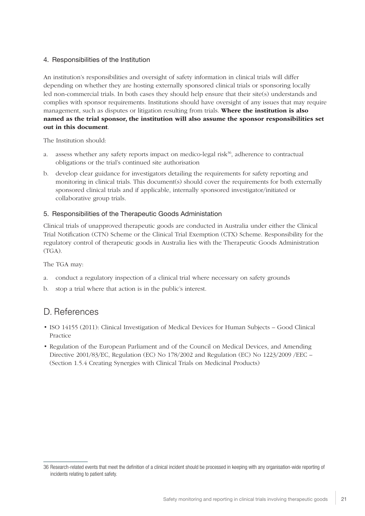#### 4. Responsibilities of the Institution

An institution's responsibilities and oversight of safety information in clinical trials will differ depending on whether they are hosting externally sponsored clinical trials or sponsoring locally led non-commercial trials. In both cases they should help ensure that their site(s) understands and complies with sponsor requirements. Institutions should have oversight of any issues that may require management, such as disputes or litigation resulting from trials. Where the institution is also named as the trial sponsor, the institution will also assume the sponsor responsibilities set out in this document.

The Institution should:

- a. assess whether any safety reports impact on medico-legal risk<sup>36</sup>, adherence to contractual obligations or the trial's continued site authorisation
- b. develop clear guidance for investigators detailing the requirements for safety reporting and monitoring in clinical trials. This document(s) should cover the requirements for both externally sponsored clinical trials and if applicable, internally sponsored investigator/initiated or collaborative group trials.

#### 5. Responsibilities of the Therapeutic Goods Administation

Clinical trials of unapproved therapeutic goods are conducted in Australia under either the Clinical Trial Notification (CTN) Scheme or the Clinical Trial Exemption (CTX) Scheme. Responsibility for the regulatory control of therapeutic goods in Australia lies with the Therapeutic Goods Administration (TGA).

The TGA may:

- a. conduct a regulatory inspection of a clinical trial where necessary on safety grounds
- b. stop a trial where that action is in the public's interest.

### D. References

- ISO 14155 (2011): Clinical Investigation of Medical Devices for Human Subjects Good Clinical Practice
- Regulation of the European Parliament and of the Council on Medical Devices, and Amending Directive 2001/83/EC, Regulation (EC) No 178/2002 and Regulation (EC) No 1223/2009 /EEC – (Section 1.5.4 Creating Synergies with Clinical Trials on Medicinal Products)

<sup>36</sup> Research-related events that meet the definition of a clinical incident should be processed in keeping with any organisation-wide reporting of incidents relating to patient safety.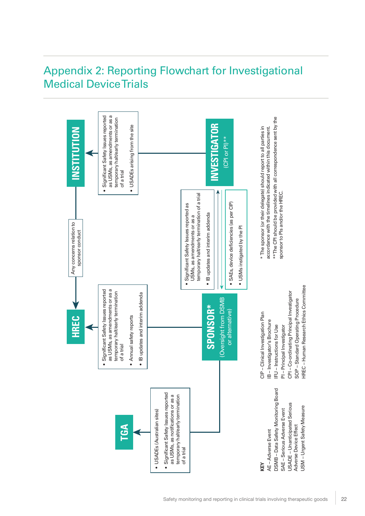## Appendix 2: Reporting Flowchart for Investigational Medical Device Trials